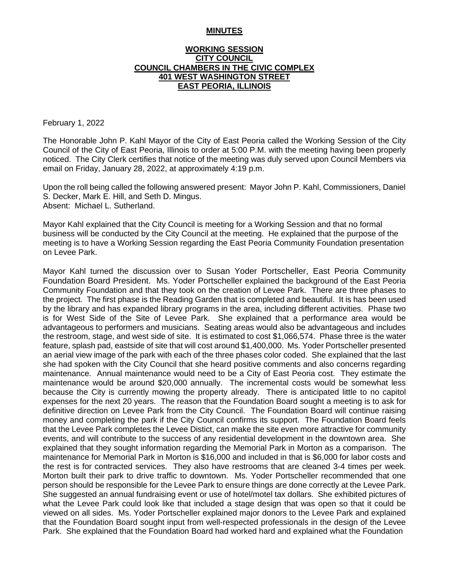#### **MINUTES**

### **WORKING SESSION CITY COUNCIL COUNCIL CHAMBERS IN THE CIVIC COMPLEX 401 WEST WASHINGTON STREET EAST PEORIA, ILLINOIS**

February 1, 2022

The Honorable John P. Kahl Mayor of the City of East Peoria called the Working Session of the City Council of the City of East Peoria, Illinois to order at 5:00 P.M. with the meeting having been properly noticed. The City Clerk certifies that notice of the meeting was duly served upon Council Members via email on Friday, January 28, 2022, at approximately 4:19 p.m.

Upon the roll being called the following answered present: Mayor John P. Kahl, Commissioners, Daniel S. Decker, Mark E. Hill, and Seth D. Mingus. Absent: Michael L. Sutherland.

Mayor Kahl explained that the City Council is meeting for a Working Session and that no formal business will be conducted by the City Council at the meeting. He explained that the purpose of the meeting is to have a Working Session regarding the East Peoria Community Foundation presentation on Levee Park.

Mayor Kahl turned the discussion over to Susan Yoder Portscheller, East Peoria Community Foundation Board President. Ms. Yoder Portscheller explained the background of the East Peoria Community Foundation and that they took on the creation of Levee Park. There are three phases to the project. The first phase is the Reading Garden that is completed and beautiful. It is has been used by the library and has expanded library programs in the area, including different activities. Phase two is for West Side of the Site of Levee Park. She explained that a performance area would be advantageous to performers and musicians. Seating areas would also be advantageous and includes the restroom, stage, and west side of site. It is estimated to cost \$1,066,574. Phase three is the water feature, splash pad, eastside of site that will cost around \$1,400,000. Ms. Yoder Portscheller presented an aerial view image of the park with each of the three phases color coded. She explained that the last she had spoken with the City Council that she heard positive comments and also concerns regarding maintenance. Annual maintenance would need to be a City of East Peoria cost. They estimate the maintenance would be around \$20,000 annually. The incremental costs would be somewhat less because the City is currently mowing the property already. There is anticipated little to no capitol expenses for the next 20 years. The reason that the Foundation Board sought a meeting is to ask for definitive direction on Levee Park from the City Council. The Foundation Board will continue raising money and completing the park if the City Council confirms its support. The Foundation Board feels that the Levee Park completes the Levee Distict, can make the site even more attractive for community events, and will contribute to the success of any residential development in the downtown area. She explained that they sought information regarding the Memorial Park in Morton as a comparison. The maintenance for Memorial Park in Morton is \$16,000 and included in that is \$6,000 for labor costs and the rest is for contracted services. They also have restrooms that are cleaned 3-4 times per week. Morton built their park to drive traffic to downtown. Ms. Yoder Portscheller recommended that one person should be responsible for the Levee Park to ensure things are done correctly at the Levee Park. She suggested an annual fundraising event or use of hotel/motel tax dollars. She exhibited pictures of what the Levee Park could look like that included a stage design that was open so that it could be viewed on all sides. Ms. Yoder Portscheller explained major donors to the Levee Park and explained that the Foundation Board sought input from well-respected professionals in the design of the Levee Park. She explained that the Foundation Board had worked hard and explained what the Foundation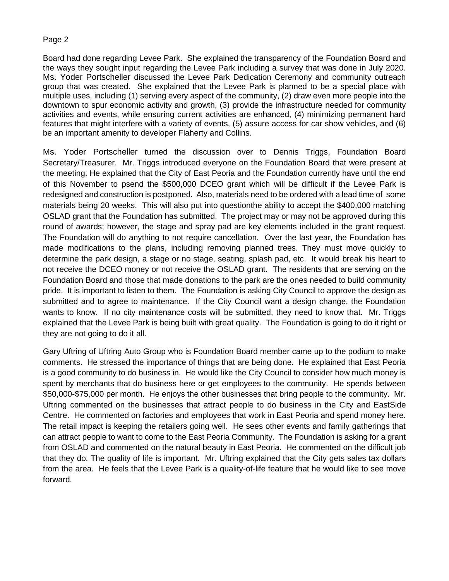# Page 2

Board had done regarding Levee Park. She explained the transparency of the Foundation Board and the ways they sought input regarding the Levee Park including a survey that was done in July 2020. Ms. Yoder Portscheller discussed the Levee Park Dedication Ceremony and community outreach group that was created. She explained that the Levee Park is planned to be a special place with multiple uses, including (1) serving every aspect of the community, (2) draw even more people into the downtown to spur economic activity and growth, (3) provide the infrastructure needed for community activities and events, while ensuring current activities are enhanced, (4) minimizing permanent hard features that might interfere with a variety of events, (5) assure access for car show vehicles, and (6) be an important amenity to developer Flaherty and Collins.

Ms. Yoder Portscheller turned the discussion over to Dennis Triggs, Foundation Board Secretary/Treasurer. Mr. Triggs introduced everyone on the Foundation Board that were present at the meeting. He explained that the City of East Peoria and the Foundation currently have until the end of this November to psend the \$500,000 DCEO grant which will be difficult if the Levee Park is redesigned and construction is postponed. Also, materials need to be ordered with a lead time of some materials being 20 weeks. This will also put into questionthe ability to accept the \$400,000 matching OSLAD grant that the Foundation has submitted. The project may or may not be approved during this round of awards; however, the stage and spray pad are key elements included in the grant request. The Foundation will do anything to not require cancellation. Over the last year, the Foundation has made modifications to the plans, including removing planned trees. They must move quickly to determine the park design, a stage or no stage, seating, splash pad, etc. It would break his heart to not receive the DCEO money or not receive the OSLAD grant. The residents that are serving on the Foundation Board and those that made donations to the park are the ones needed to build community pride. It is important to listen to them. The Foundation is asking City Council to approve the design as submitted and to agree to maintenance. If the City Council want a design change, the Foundation wants to know. If no city maintenance costs will be submitted, they need to know that. Mr. Triggs explained that the Levee Park is being built with great quality. The Foundation is going to do it right or they are not going to do it all.

Gary Uftring of Uftring Auto Group who is Foundation Board member came up to the podium to make comments. He stressed the importance of things that are being done. He explained that East Peoria is a good community to do business in. He would like the City Council to consider how much money is spent by merchants that do business here or get employees to the community. He spends between \$50,000-\$75,000 per month. He enjoys the other businesses that bring people to the community. Mr. Uftring commented on the businesses that attract people to do business in the City and EastSide Centre. He commented on factories and employees that work in East Peoria and spend money here. The retail impact is keeping the retailers going well. He sees other events and family gatherings that can attract people to want to come to the East Peoria Community. The Foundation is asking for a grant from OSLAD and commented on the natural beauty in East Peoria. He commented on the difficult job that they do. The quality of life is important. Mr. Uftring explained that the City gets sales tax dollars from the area. He feels that the Levee Park is a quality-of-life feature that he would like to see move forward.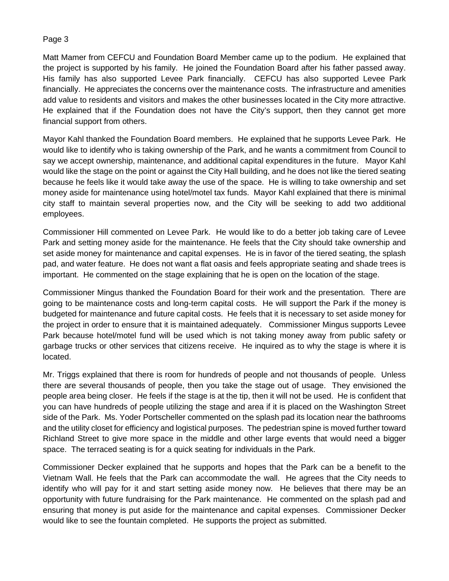# Page 3

Matt Mamer from CEFCU and Foundation Board Member came up to the podium. He explained that the project is supported by his family. He joined the Foundation Board after his father passed away. His family has also supported Levee Park financially. CEFCU has also supported Levee Park financially. He appreciates the concerns over the maintenance costs. The infrastructure and amenities add value to residents and visitors and makes the other businesses located in the City more attractive. He explained that if the Foundation does not have the City's support, then they cannot get more financial support from others.

Mayor Kahl thanked the Foundation Board members. He explained that he supports Levee Park. He would like to identify who is taking ownership of the Park, and he wants a commitment from Council to say we accept ownership, maintenance, and additional capital expenditures in the future. Mayor Kahl would like the stage on the point or against the City Hall building, and he does not like the tiered seating because he feels like it would take away the use of the space. He is willing to take ownership and set money aside for maintenance using hotel/motel tax funds. Mayor Kahl explained that there is minimal city staff to maintain several properties now, and the City will be seeking to add two additional employees.

Commissioner Hill commented on Levee Park. He would like to do a better job taking care of Levee Park and setting money aside for the maintenance. He feels that the City should take ownership and set aside money for maintenance and capital expenses. He is in favor of the tiered seating, the splash pad, and water feature. He does not want a flat oasis and feels appropriate seating and shade trees is important. He commented on the stage explaining that he is open on the location of the stage.

Commissioner Mingus thanked the Foundation Board for their work and the presentation. There are going to be maintenance costs and long-term capital costs. He will support the Park if the money is budgeted for maintenance and future capital costs. He feels that it is necessary to set aside money for the project in order to ensure that it is maintained adequately. Commissioner Mingus supports Levee Park because hotel/motel fund will be used which is not taking money away from public safety or garbage trucks or other services that citizens receive. He inquired as to why the stage is where it is located.

Mr. Triggs explained that there is room for hundreds of people and not thousands of people. Unless there are several thousands of people, then you take the stage out of usage. They envisioned the people area being closer. He feels if the stage is at the tip, then it will not be used. He is confident that you can have hundreds of people utilizing the stage and area if it is placed on the Washington Street side of the Park. Ms. Yoder Portscheller commented on the splash pad its location near the bathrooms and the utility closet for efficiency and logistical purposes. The pedestrian spine is moved further toward Richland Street to give more space in the middle and other large events that would need a bigger space. The terraced seating is for a quick seating for individuals in the Park.

Commissioner Decker explained that he supports and hopes that the Park can be a benefit to the Vietnam Wall. He feels that the Park can accommodate the wall. He agrees that the City needs to identify who will pay for it and start setting aside money now. He believes that there may be an opportunity with future fundraising for the Park maintenance. He commented on the splash pad and ensuring that money is put aside for the maintenance and capital expenses. Commissioner Decker would like to see the fountain completed. He supports the project as submitted.